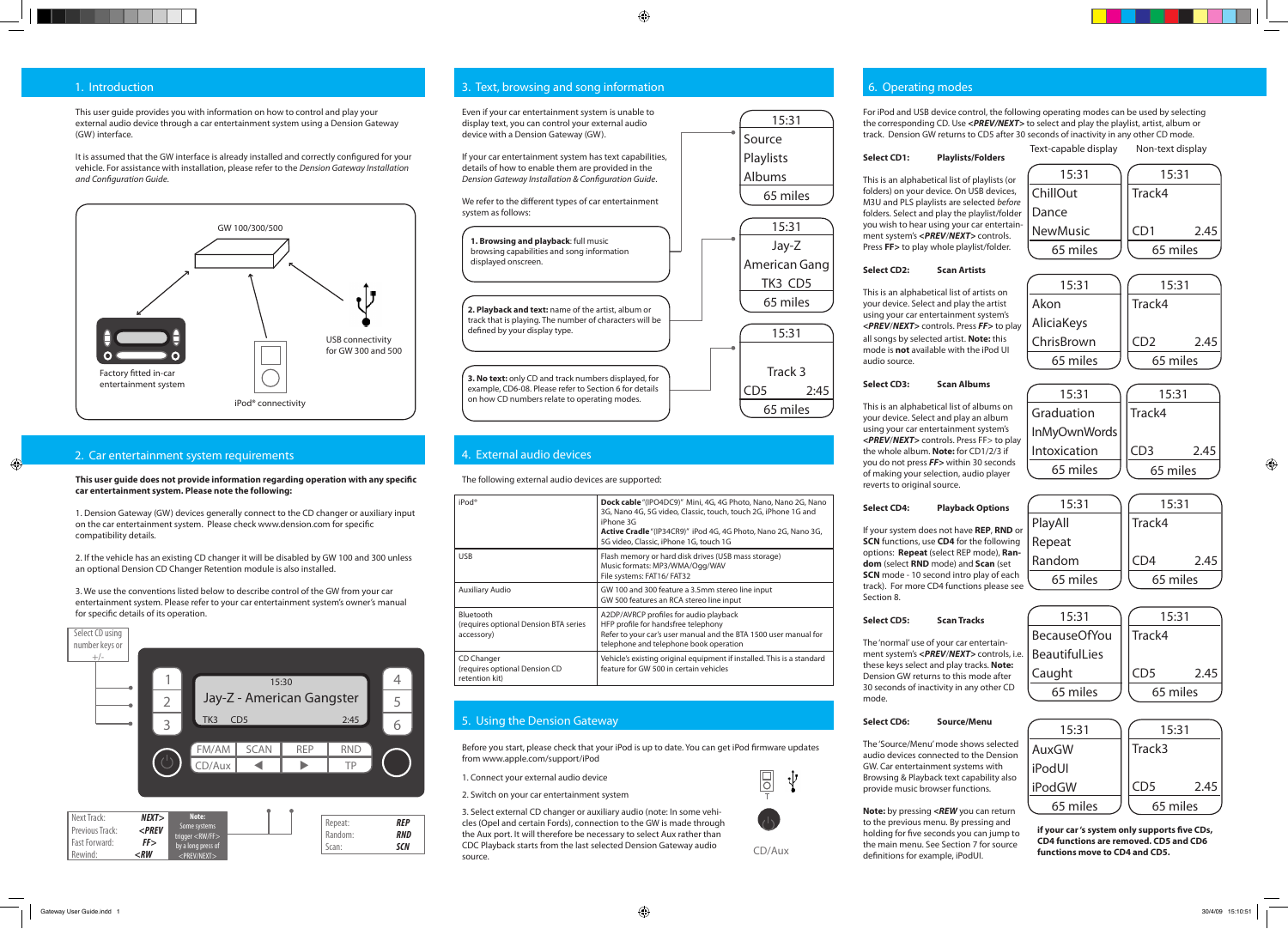CD/Aux

# 1. Introduction

# 2. Car entertainment system requirements

## **Select CD1: Playlists/Folders**

This is an alphabetical list of playlists (or folders) on your device. On USB devices, M3U and PLS playlists are selected *before* folders. Select and play the playlist/folder you wish to hear using your car entertainment system's *<PREV*/*NEXT>* controls. Press **FF>** to play whole playlist/folder.

## **Select CD2: Scan Artists**

This is an alphabetical list of artists on your device. Select and play the artist using your car entertainment system's *<PREV*/*NEXT>* controls. Press *FF>* to play all songs by selected artist. **Note:** this mode is **not** available with the iPod UI

audio source.

## **Select CD3: Scan Albums**

This is an alphabetical list of albums on your device. Select and play an album using your car entertainment system's *<PREV*/*NEXT>* controls. Press FF> to play the whole album. **Note:** for CD1/2/3 if you do not press *FF>* within 30 seconds of making your selection, audio player reverts to original source.

# **Select CD4: Playback Options**

If your system does not have **REP**, **RND** or **SCN** functions, use **CD4** for the following options: **Repeat** (select REP mode), **Random** (select **RND** mode) and **Scan** (set **SCN** mode - 10 second intro play of each track). For more CD4 functions please see Section 8.

### **Select CD5: Scan Tracks**

The 'normal' use of your car entertainment system's *<PREV*/*NEXT>* controls, i.e. these keys select and play tracks. **Note:**  Dension GW returns to this mode after 30 seconds of inactivity in any other CD mode.

### **Select CD6: Source/Menu**

The 'Source/Menu' mode shows selected audio devices connected to the Dension GW. Car entertainment systems with Browsing & Playback text capability also provide music browser functions.

**Note:** by pressing *<REW* you can return to the previous menu. By pressing and holding for five seconds you can jump to the main menu. See Section 7 for source definitions for example, iPodUI.

 $\bigcirc$ 



**This user guide does not provide information regarding operation with any specific car entertainment system. Please note the following:**

1. Dension Gateway (GW) devices generally connect to the CD changer or auxiliary input on the car entertainment system. Please check www.dension.com for specific compatibility details.

2. If the vehicle has an existing CD changer it will be disabled by GW 100 and 300 unless an optional Dension CD Changer Retention module is also installed.



# 3. Text, browsing and song information 6. Operation 6. Operating modes

3. We use the conventions listed below to describe control of the GW from your car entertainment system. Please refer to your car entertainment system's owner's manual for specific details of its operation.

**1. Browsing and playback**: full music browsing capabilities and song information displayed onscreen. **2. Playback and text:** name of the artist, album or

track that is playing. The number of characters will be defined by your display type.

**3. No text:** only CD and track numbers displayed, for example, CD6-08. Please refer to Section 6 for details on how CD numbers relate to operating modes.

15:31

# Source Playlists Albums 65 miles 15:31 Track 3 CD5 2:45 15:31 Jay-Z American Gang TK3 CD5 65 miles

65 miles

# 4. External audio devices

| iPod®                                                            | <b>Dock cable</b> "(IPO4DC9)" Mini, 4G, 4G Photo, Nano, Nano 2G, Nano<br>3G, Nano 4G, 5G video, Classic, touch, touch 2G, iPhone 1G and<br>iPhone 3G<br>Active Cradle "(IP34CR9)" iPod 4G, 4G Photo, Nano 2G, Nano 3G,<br>5G video, Classic, iPhone 1G, touch 1G |
|------------------------------------------------------------------|------------------------------------------------------------------------------------------------------------------------------------------------------------------------------------------------------------------------------------------------------------------|
| <b>USB</b>                                                       | Flash memory or hard disk drives (USB mass storage)<br>Music formats: MP3/WMA/Ogg/WAV<br>File systems: FAT16/FAT32                                                                                                                                               |
| Auxiliary Audio                                                  | GW 100 and 300 feature a 3.5mm stereo line input<br>GW 500 features an RCA stereo line input                                                                                                                                                                     |
| Bluetooth<br>(requires optional Dension BTA series<br>accessory) | A2DP/AVRCP profiles for audio playback<br>HFP profile for handsfree telephony<br>Refer to your car's user manual and the BTA 1500 user manual for<br>telephone and telephone book operation                                                                      |
| CD Changer<br>(requires optional Dension CD<br>retention kit)    | Vehicle's existing original equipment if installed. This is a standard<br>feature for GW 500 in certain vehicles                                                                                                                                                 |

# 5. Using the Dension Gateway

Before you start, please check that your iPod is up to date. You can get iPod firmware updates from www.apple.com/support/iPod

1. Connect your external audio device

2. Switch on your car entertainment system

3. Select external CD changer or auxiliary audio (note: In some vehicles (Opel and certain Fords), connection to the GW is made through the Aux port. It will therefore be necessary to select Aux rather than CDC Playback starts from the last selected Dension Gateway audio source.

For iPod and USB device control, the following operating modes can be used by selecting the corresponding CD. Use *<PREV/NEXT>* to select and play the playlist, artist, album or track. Dension GW returns to CD5 after 30 seconds of inactivity in any other CD mode.

> **if your car 's system only supports five CDs, CD4 functions are removed. CD5 and CD6 functions move to CD4 and CD5.**

 $\bigoplus$ 

This user guide provides you with information on how to control and play your external audio device through a car entertainment system using a Dension Gateway (GW) interface.

It is assumed that the GW interface is already installed and correctly configured for your vehicle. For assistance with installation, please refer to the *Dension Gateway Installation and Configuration Guide*.





Even if your car entertainment system is unable to display text, you can control your external audio device with a Dension Gateway (GW).

If your car entertainment system has text capabilities, details of how to enable them are provided in the *Dension Gateway Installation & Configuration Guide*.

We refer to the different types of car entertainment system as follows:

The following external audio devices are supported: